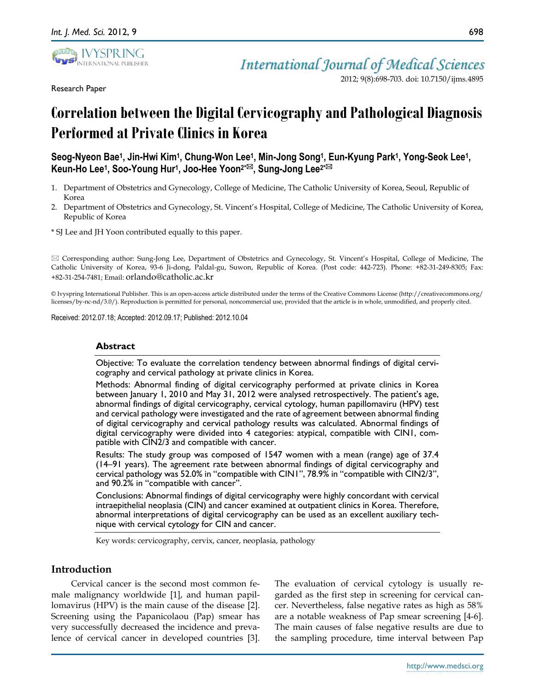

Research Paper

*International Journal of Medical Sciences*

2012; 9(8):698-703. doi: 10.7150/ijms.4895

# **Correlation between the Digital Cervicography and Pathological Diagnosis Performed at Private Clinics in Korea**

**Seog-Nyeon Bae<sup>1</sup> , Jin-Hwi Kim<sup>1</sup> , Chung-Won Lee<sup>1</sup> , Min-Jong Song<sup>1</sup> , Eun-Kyung Park<sup>1</sup> , Yong-Seok Lee<sup>1</sup> , Keun-Ho Lee<sup>1</sup> , Soo-Young Hur<sup>1</sup> , Joo-Hee Yoon2\*, Sung-Jong Lee2\***

- 1. Department of Obstetrics and Gynecology, College of Medicine, The Catholic University of Korea, Seoul, Republic of Korea
- 2. Department of Obstetrics and Gynecology, St. Vincent's Hospital, College of Medicine, The Catholic University of Korea, Republic of Korea

\* SJ Lee and JH Yoon contributed equally to this paper.

 Corresponding author: Sung-Jong Lee, Department of Obstetrics and Gynecology, St. Vincent's Hospital, College of Medicine, The Catholic University of Korea, 93-6 Ji-dong, Paldal-gu, Suwon, Republic of Korea. (Post code: 442-723). Phone: +82-31-249-8305; Fax: +82-31-254-7481; Email: orlando@catholic.ac.kr

© Ivyspring International Publisher. This is an open-access article distributed under the terms of the Creative Commons License (http://creativecommons.org/ licenses/by-nc-nd/3.0/). Reproduction is permitted for personal, noncommercial use, provided that the article is in whole, unmodified, and properly cited.

Received: 2012.07.18; Accepted: 2012.09.17; Published: 2012.10.04

#### **Abstract**

Objective: To evaluate the correlation tendency between abnormal findings of digital cervicography and cervical pathology at private clinics in Korea.

Methods: Abnormal finding of digital cervicography performed at private clinics in Korea between January 1, 2010 and May 31, 2012 were analysed retrospectively. The patient's age, abnormal findings of digital cervicography, cervical cytology, human papillomaviru (HPV) test and cervical pathology were investigated and the rate of agreement between abnormal finding of digital cervicography and cervical pathology results was calculated. Abnormal findings of digital cervicography were divided into 4 categories: atypical, compatible with CIN1, compatible with CIN2/3 and compatible with cancer.

Results: The study group was composed of 1547 women with a mean (range) age of 37.4 (14–91 years). The agreement rate between abnormal findings of digital cervicography and cervical pathology was 52.0% in "compatible with CIN1", 78.9% in "compatible with CIN2/3", and 90.2% in "compatible with cancer".

Conclusions: Abnormal findings of digital cervicography were highly concordant with cervical intraepithelial neoplasia (CIN) and cancer examined at outpatient clinics in Korea. Therefore, abnormal interpretations of digital cervicography can be used as an excellent auxiliary technique with cervical cytology for CIN and cancer.

Key words: cervicography, cervix, cancer, neoplasia, pathology

## **Introduction**

Cervical cancer is the second most common female malignancy worldwide [1], and human papillomavirus (HPV) is the main cause of the disease [2]. Screening using the Papanicolaou (Pap) smear has very successfully decreased the incidence and prevalence of cervical cancer in developed countries [3].

The evaluation of cervical cytology is usually regarded as the first step in screening for cervical cancer. Nevertheless, false negative rates as high as 58% are a notable weakness of Pap smear screening [4-6]. The main causes of false negative results are due to the sampling procedure, time interval between Pap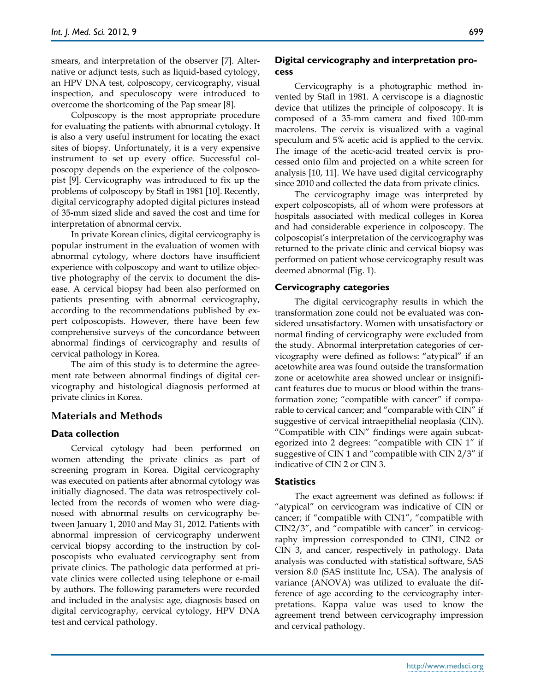smears, and interpretation of the observer [7]. Alternative or adjunct tests, such as liquid-based cytology, an HPV DNA test, colposcopy, cervicography, visual inspection, and speculoscopy were introduced to overcome the shortcoming of the Pap smear [8].

Colposcopy is the most appropriate procedure for evaluating the patients with abnormal cytology. It is also a very useful instrument for locating the exact sites of biopsy. Unfortunately, it is a very expensive instrument to set up every office. Successful colposcopy depends on the experience of the colposcopist [9]. Cervicography was introduced to fix up the problems of colposcopy by Stafl in 1981 [10]. Recently, digital cervicography adopted digital pictures instead of 35-mm sized slide and saved the cost and time for interpretation of abnormal cervix.

In private Korean clinics, digital cervicography is popular instrument in the evaluation of women with abnormal cytology, where doctors have insufficient experience with colposcopy and want to utilize objective photography of the cervix to document the disease. A cervical biopsy had been also performed on patients presenting with abnormal cervicography, according to the recommendations published by expert colposcopists. However, there have been few comprehensive surveys of the concordance between abnormal findings of cervicography and results of cervical pathology in Korea.

The aim of this study is to determine the agreement rate between abnormal findings of digital cervicography and histological diagnosis performed at private clinics in Korea.

## **Materials and Methods**

### **Data collection**

Cervical cytology had been performed on women attending the private clinics as part of screening program in Korea. Digital cervicography was executed on patients after abnormal cytology was initially diagnosed. The data was retrospectively collected from the records of women who were diagnosed with abnormal results on cervicography between January 1, 2010 and May 31, 2012. Patients with abnormal impression of cervicography underwent cervical biopsy according to the instruction by colposcopists who evaluated cervicography sent from private clinics. The pathologic data performed at private clinics were collected using telephone or e-mail by authors. The following parameters were recorded and included in the analysis: age, diagnosis based on digital cervicography, cervical cytology, HPV DNA test and cervical pathology.

## **Digital cervicography and interpretation process**

Cervicography is a photographic method invented by Stafl in 1981. A cerviscope is a diagnostic device that utilizes the principle of colposcopy. It is composed of a 35-mm camera and fixed 100-mm macrolens. The cervix is visualized with a vaginal speculum and 5% acetic acid is applied to the cervix. The image of the acetic-acid treated cervix is processed onto film and projected on a white screen for analysis [10, 11]. We have used digital cervicography since 2010 and collected the data from private clinics.

The cervicography image was interpreted by expert colposcopists, all of whom were professors at hospitals associated with medical colleges in Korea and had considerable experience in colposcopy. The colposcopist's interpretation of the cervicography was returned to the private clinic and cervical biopsy was performed on patient whose cervicography result was deemed abnormal (Fig. 1).

## **Cervicography categories**

The digital cervicography results in which the transformation zone could not be evaluated was considered unsatisfactory. Women with unsatisfactory or normal finding of cervicography were excluded from the study. Abnormal interpretation categories of cervicography were defined as follows: "atypical" if an acetowhite area was found outside the transformation zone or acetowhite area showed unclear or insignificant features due to mucus or blood within the transformation zone; "compatible with cancer" if comparable to cervical cancer; and "comparable with CIN" if suggestive of cervical intraepithelial neoplasia (CIN). "Compatible with CIN" findings were again subcategorized into 2 degrees: "compatible with CIN 1" if suggestive of CIN 1 and "compatible with CIN 2/3" if indicative of CIN 2 or CIN 3.

### **Statistics**

The exact agreement was defined as follows: if "atypical" on cervicogram was indicative of CIN or cancer; if "compatible with CIN1", "compatible with CIN2/3", and "compatible with cancer" in cervicography impression corresponded to CIN1, CIN2 or CIN 3, and cancer, respectively in pathology. Data analysis was conducted with statistical software, SAS version 8.0 (SAS institute Inc, USA). The analysis of variance (ANOVA) was utilized to evaluate the difference of age according to the cervicography interpretations. Kappa value was used to know the agreement trend between cervicography impression and cervical pathology.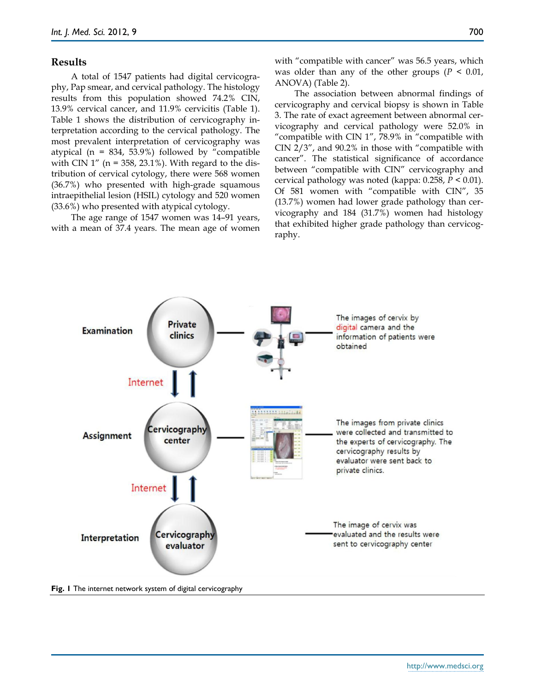#### **Results**

A total of 1547 patients had digital cervicography, Pap smear, and cervical pathology. The histology results from this population showed 74.2% CIN, 13.9% cervical cancer, and 11.9% cervicitis (Table 1). Table 1 shows the distribution of cervicography interpretation according to the cervical pathology. The most prevalent interpretation of cervicography was atypical ( $n = 834, 53.9%$ ) followed by "compatible with CIN  $1''$  (n = 358, 23.1%). With regard to the distribution of cervical cytology, there were 568 women (36.7%) who presented with high-grade squamous intraepithelial lesion (HSIL) cytology and 520 women (33.6%) who presented with atypical cytology.

The age range of 1547 women was 14–91 years, with a mean of 37.4 years. The mean age of women with "compatible with cancer" was 56.5 years, which was older than any of the other groups  $(P < 0.01)$ , ANOVA) (Table 2).

The association between abnormal findings of cervicography and cervical biopsy is shown in Table 3. The rate of exact agreement between abnormal cervicography and cervical pathology were 52.0% in "compatible with CIN 1", 78.9% in "compatible with CIN 2/3", and 90.2% in those with "compatible with cancer". The statistical significance of accordance between "compatible with CIN" cervicography and cervical pathology was noted (kappa: 0.258, *P* < 0.01). Of 581 women with "compatible with CIN", 35 (13.7%) women had lower grade pathology than cervicography and 184 (31.7%) women had histology that exhibited higher grade pathology than cervicography.



**Fig. 1** The internet network system of digital cervicography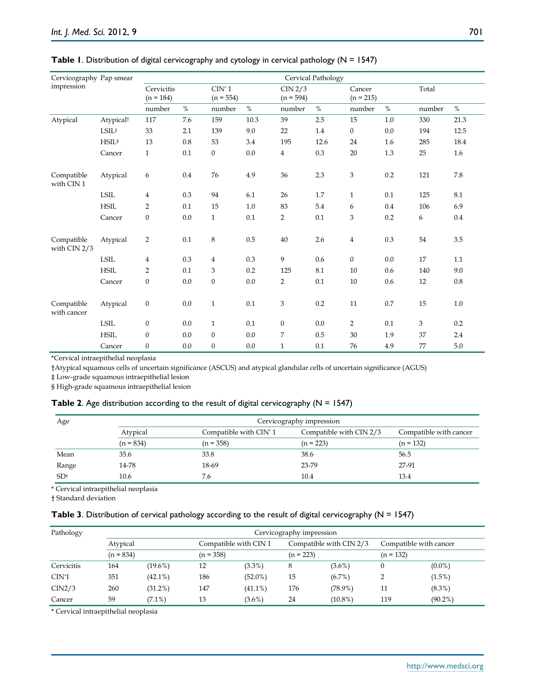| Cervicography Pap smear    |                       | Cervical Pathology        |      |                                 |      |                |                        |                  |                       |        |           |  |
|----------------------------|-----------------------|---------------------------|------|---------------------------------|------|----------------|------------------------|------------------|-----------------------|--------|-----------|--|
| impression                 |                       | Cervicitis<br>$(n = 184)$ |      | $\text{CIN}^*$ 1<br>$(n = 554)$ |      |                | CIN 2/3<br>$(n = 594)$ |                  | Cancer<br>$(n = 215)$ |        | Total     |  |
|                            |                       | number                    | $\%$ | number                          | $\%$ | number         | $\%$                   | number           | $\%$                  | number | $\%$      |  |
| Atypical                   | Atypical <sup>t</sup> | 117                       | 7.6  | 159                             | 10.3 | 39             | 2.5                    | 15               | 1.0                   | 330    | 21.3      |  |
|                            | $LSIL^*$              | 33                        | 2.1  | 139                             | 9.0  | 22             | 1.4                    | $\boldsymbol{0}$ | 0.0                   | 194    | 12.5      |  |
|                            | HSIL <sup>s</sup>     | 13                        | 0.8  | 53                              | 3.4  | 195            | 12.6                   | 24               | 1.6                   | 285    | 18.4      |  |
|                            | Cancer                | $\mathbf{1}$              | 0.1  | $\boldsymbol{0}$                | 0.0  | $\overline{4}$ | 0.3                    | $20\,$           | 1.3                   | 25     | 1.6       |  |
| Compatible<br>with CIN 1   | Atypical              | 6                         | 0.4  | 76                              | 4.9  | 36             | 2.3                    | 3                | 0.2                   | 121    | $7.8\,$   |  |
|                            | <b>LSIL</b>           | 4                         | 0.3  | 94                              | 6.1  | 26             | 1.7                    | $\mathbf{1}$     | 0.1                   | 125    | 8.1       |  |
|                            | <b>HSIL</b>           | 2                         | 0.1  | 15                              | 1.0  | 83             | 5.4                    | 6                | 0.4                   | 106    | 6.9       |  |
|                            | Cancer                | $\boldsymbol{0}$          | 0.0  | $\mathbf{1}$                    | 0.1  | $\overline{2}$ | 0.1                    | 3                | 0.2                   | 6      | 0.4       |  |
| Compatible<br>with CIN 2/3 | Atypical              | $\overline{2}$            | 0.1  | $\,8\,$                         | 0.5  | 40             | 2.6                    | $\overline{4}$   | 0.3                   | 54     | $3.5\,$   |  |
|                            | <b>LSIL</b>           | 4                         | 0.3  | $\overline{4}$                  | 0.3  | 9              | 0.6                    | $\boldsymbol{0}$ | 0.0                   | 17     | 1.1       |  |
|                            | <b>HSIL</b>           | $\overline{2}$            | 0.1  | 3                               | 0.2  | 125            | 8.1                    | 10               | 0.6                   | 140    | 9.0       |  |
|                            | Cancer                | $\boldsymbol{0}$          | 0.0  | $\boldsymbol{0}$                | 0.0  | $\overline{2}$ | 0.1                    | 10               | 0.6                   | 12     | $\rm 0.8$ |  |
| Compatible<br>with cancer  | Atypical              | $\boldsymbol{0}$          | 0.0  | $\mathbf{1}$                    | 0.1  | 3              | 0.2                    | 11               | 0.7                   | 15     | 1.0       |  |
|                            | <b>LSIL</b>           | $\boldsymbol{0}$          | 0.0  | $\mathbf{1}$                    | 0.1  | $\mathbf{0}$   | 0.0                    | 2                | 0.1                   | 3      | 0.2       |  |
|                            | <b>HSIL</b>           | $\boldsymbol{0}$          | 0.0  | $\boldsymbol{0}$                | 0.0  | 7              | 0.5                    | 30               | 1.9                   | 37     | 2.4       |  |
|                            | Cancer                | $\boldsymbol{0}$          | 0.0  | $\boldsymbol{0}$                | 0.0  | $\mathbf{1}$   | 0.1                    | 76               | 4.9                   | 77     | 5.0       |  |

#### **Table 1.** Distribution of digital cervicography and cytology in cervical pathology (N = 1547)

\*Cervical intraepithelial neoplasia

†Atypical squamous cells of uncertain significance (ASCUS) and atypical glandular cells of uncertain significance (AGUS)

‡ Low-grade squamous intraepithelial lesion

§ High-grade squamous intraepithelial lesion

#### **Table 2.** Age distribution according to the result of digital cervicography (N = 1547)

| Age             |                                                | Cervicography impression |                         |                        |  |  |  |  |
|-----------------|------------------------------------------------|--------------------------|-------------------------|------------------------|--|--|--|--|
|                 | Compatible with CIN <sup>*</sup> 1<br>Atypical |                          | Compatible with CIN 2/3 | Compatible with cancer |  |  |  |  |
|                 | $(n = 834)$                                    | $(n = 358)$              | $(n = 223)$             | $(n = 132)$            |  |  |  |  |
| Mean            | 35.6                                           | 33.8                     | 38.6                    | 56.5                   |  |  |  |  |
| Range           | 14-78                                          | 18-69                    | 23-79                   | 27-91                  |  |  |  |  |
| SD <sup>†</sup> | 10.6                                           | 7.6                      | 10.4                    | 13.4                   |  |  |  |  |

\* Cervical intraepithelial neoplasia

† Standard deviation

#### **Table 3**. Distribution of cervical pathology according to the result of digital cervicography (N = 1547)

| Pathology  | Cervicography impression |            |             |                       |     |                         |     |                        |  |
|------------|--------------------------|------------|-------------|-----------------------|-----|-------------------------|-----|------------------------|--|
|            | Atypical                 |            |             | Compatible with CIN 1 |     | Compatible with CIN 2/3 |     | Compatible with cancer |  |
|            | $(n = 834)$              |            | $(n = 358)$ |                       |     | $(n = 223)$             |     |                        |  |
| Cervicitis | 164                      | $(19.6\%)$ | 12          | $(3.3\%)$             | 8   | $(3.6\%)$               |     | $(0.0\%)$              |  |
| $CIN^*1$   | 351                      | $(42.1\%)$ | 186         | $(52.0\%)$            | 15  | (6.7%)                  |     | $(1.5\%)$              |  |
| CIN2/3     | 260                      | $(31.2\%)$ | 147         | $(41.1\%)$            | 176 | $(78.9\%)$              | 11  | $(8.3\%)$              |  |
| Cancer     | 59                       | $(7.1\%)$  | 13          | $(3.6\%)$             | 24  | $(10.8\%)$              | 119 | $(90.2\%)$             |  |

\* Cervical intraepithelial neoplasia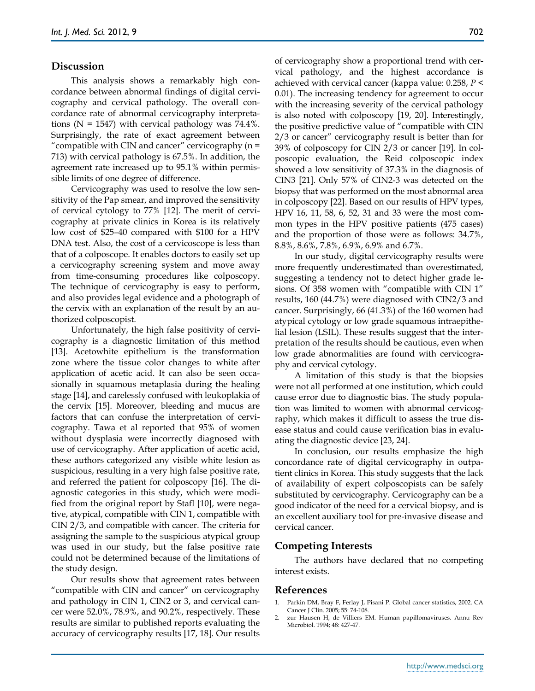#### **Discussion**

This analysis shows a remarkably high concordance between abnormal findings of digital cervicography and cervical pathology. The overall concordance rate of abnormal cervicography interpretations ( $N = 1547$ ) with cervical pathology was 74.4%. Surprisingly, the rate of exact agreement between "compatible with CIN and cancer" cervicography (n = 713) with cervical pathology is 67.5%. In addition, the agreement rate increased up to 95.1% within permissible limits of one degree of difference.

Cervicography was used to resolve the low sensitivity of the Pap smear, and improved the sensitivity of cervical cytology to 77% [12]. The merit of cervicography at private clinics in Korea is its relatively low cost of \$25–40 compared with \$100 for a HPV DNA test. Also, the cost of a cervicoscope is less than that of a colposcope. It enables doctors to easily set up a cervicography screening system and move away from time-consuming procedures like colposcopy. The technique of cervicography is easy to perform, and also provides legal evidence and a photograph of the cervix with an explanation of the result by an authorized colposcopist.

Unfortunately, the high false positivity of cervicography is a diagnostic limitation of this method [13]. Acetowhite epithelium is the transformation zone where the tissue color changes to white after application of acetic acid. It can also be seen occasionally in squamous metaplasia during the healing stage [14], and carelessly confused with leukoplakia of the cervix [15]. Moreover, bleeding and mucus are factors that can confuse the interpretation of cervicography. Tawa et al reported that 95% of women without dysplasia were incorrectly diagnosed with use of cervicography. After application of acetic acid, these authors categorized any visible white lesion as suspicious, resulting in a very high false positive rate, and referred the patient for colposcopy [16]. The diagnostic categories in this study, which were modified from the original report by Stafl [10], were negative, atypical, compatible with CIN 1, compatible with CIN 2/3, and compatible with cancer. The criteria for assigning the sample to the suspicious atypical group was used in our study, but the false positive rate could not be determined because of the limitations of the study design.

Our results show that agreement rates between "compatible with CIN and cancer" on cervicography and pathology in CIN 1, CIN2 or 3, and cervical cancer were 52.0%, 78.9%, and 90.2%, respectively. These results are similar to published reports evaluating the accuracy of cervicography results [17, 18]. Our results of cervicography show a proportional trend with cervical pathology, and the highest accordance is achieved with cervical cancer (kappa value: 0.258, *P* < 0.01). The increasing tendency for agreement to occur with the increasing severity of the cervical pathology is also noted with colposcopy [19, 20]. Interestingly, the positive predictive value of "compatible with CIN 2/3 or cancer" cervicography result is better than for 39% of colposcopy for CIN 2/3 or cancer [19]. In colposcopic evaluation, the Reid colposcopic index showed a low sensitivity of 37.3% in the diagnosis of CIN3 [21]. Only 57% of CIN2-3 was detected on the biopsy that was performed on the most abnormal area in colposcopy [22]. Based on our results of HPV types, HPV 16, 11, 58, 6, 52, 31 and 33 were the most common types in the HPV positive patients (475 cases) and the proportion of those were as follows: 34.7%, 8.8%, 8.6%, 7.8%, 6.9%, 6.9% and 6.7%.

In our study, digital cervicography results were more frequently underestimated than overestimated, suggesting a tendency not to detect higher grade lesions. Of 358 women with "compatible with CIN 1" results, 160 (44.7%) were diagnosed with CIN2/3 and cancer. Surprisingly, 66 (41.3%) of the 160 women had atypical cytology or low grade squamous intraepithelial lesion (LSIL). These results suggest that the interpretation of the results should be cautious, even when low grade abnormalities are found with cervicography and cervical cytology.

A limitation of this study is that the biopsies were not all performed at one institution, which could cause error due to diagnostic bias. The study population was limited to women with abnormal cervicography, which makes it difficult to assess the true disease status and could cause verification bias in evaluating the diagnostic device [23, 24].

In conclusion, our results emphasize the high concordance rate of digital cervicography in outpatient clinics in Korea. This study suggests that the lack of availability of expert colposcopists can be safely substituted by cervicography. Cervicography can be a good indicator of the need for a cervical biopsy, and is an excellent auxiliary tool for pre-invasive disease and cervical cancer.

#### **Competing Interests**

The authors have declared that no competing interest exists.

#### **References**

- 1. Parkin DM, Bray F, Ferlay J, Pisani P. Global cancer statistics, 2002. CA Cancer J Clin. 2005; 55: 74-108.
- 2. zur Hausen H, de Villiers EM. Human papillomaviruses. Annu Rev Microbiol. 1994; 48: 427-47.